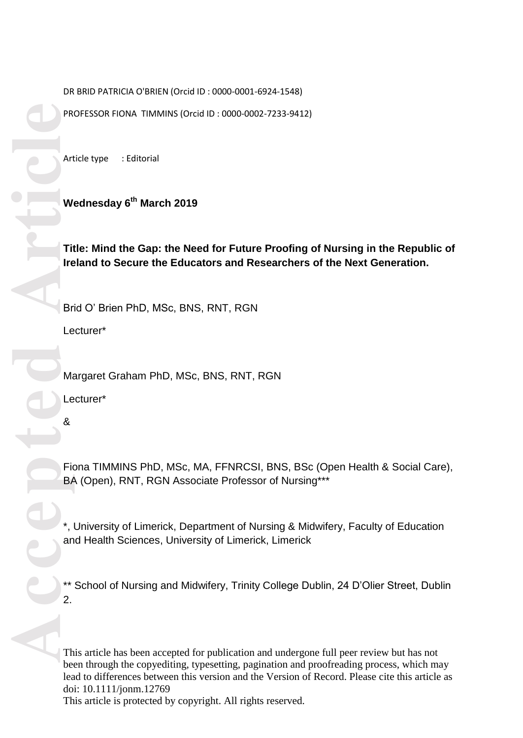DR BRID PATRICIA O'BRIEN (Orcid ID : 0000-0001-6924-1548) PROFESSOR FIONA TIMMINS (Orcid ID : 0000-0002-7233-9412)

Article type : Editorial

## **Wednesday 6th March 2019**

**Title: Mind the Gap: the Need for Future Proofing of Nursing in the Republic of Ireland to Secure the Educators and Researchers of the Next Generation.**

Brid O' Brien PhD, MSc, BNS, RNT, RGN

Lecturer\*

Margaret Graham PhD, MSc, BNS, RNT, RGN

Lecturer\*

Fiona TIMMINS PhD, MSc, MA, FFNRCSI, BNS, BSc (Open Health & Social Care), BA (Open), RNT, RGN Associate Professor of Nursing\*\*\*

\*, University of Limerick, Department of Nursing & Midwifery, Faculty of Education and Health Sciences, University of Limerick, Limerick

\*\* School of Nursing and Midwifery, Trinity College Dublin, 24 D'Olier Street, Dublin 2.

This article has been accepted for publication and undergone full peer review but has not been through the copyediting, typesetting, pagination and proofreading process, which may lead to differences between this version and the Version of Record. Please cite this article as doi: 10.1111/jonm.12769

This article is protected by copyright. All rights reserved.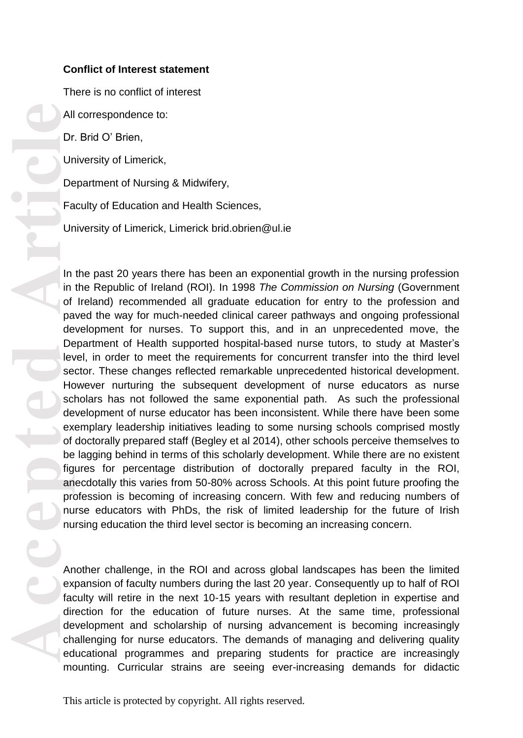## **Conflict of Interest statement**

There is no conflict of interest All correspondence to: Dr. Brid O' Brien, University of Limerick, Department of Nursing & Midwifery, Faculty of Education and Health Science s, University of Limerick, Limerick brid.obrien@ul.ie

In the past 20 years there has been an exponential growth in the nursing profession in the Republic of Ireland (ROI) . In 1998 *The Commission on Nursing* (Government of Ireland) recommended all graduate education for entry to the profession and paved the way for much -needed clinical career pathways and ongoing professional development for nurses . To support this, and in an unprecedented move, the Department of Health supported hospital -based nurse tutors, to study at Master's level, in order to meet the requirements for concurrent transfer into the third level sector. These changes reflected remarkable unprecedented historical development. However nurturing the subsequent development of nurse educators as nurse scholars has not followed the same exponential path. As such the professional development of nurse educator has been inconsistent. While there have been some exemplary leadership initiatives leading to some nursing schools comprised mostly of doctorally prepared staff (Begley et al 2014 ), other schools perceive themselves to be lagging behind in terms of this scholarly development. While there are no existent figures for percentage distribution of doctorally prepared faculty in the ROI , anecdotally this varies from 50 -80% across Schools. At this point future proofing the profession is becoming of increasing concern. With few and reducing numbers of nurse educators with PhDs, the risk of limited leadership for the future of Irish nursing education the third level sector is becoming an increasing concern.

Another challenge, in the ROI and across global landscapes has been the limited expansion of faculty numbers during the last 20 year. Consequently up to half of ROI faculty will retire in the next 10-15 years with resultant depletion in expertise and direction for the education of future nurses. At the same time , professional development and scholarship of nursing advancement is becoming increasingly challenging for nurse educators. The demands of managing and delivering quality educational programmes and preparing students for practice are increasingly mounting. Curricular strains are seeing ever -increasing demand s for didactic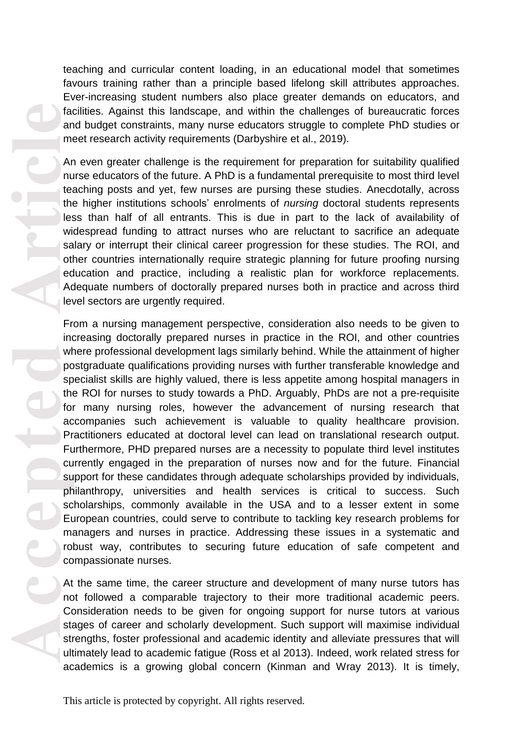teaching and curricular content loading, in an educational model that sometimes favours training rather than a principle based lifelong skill attributes approaches. Ever -increasing student numbers also place greater demands on educators, and facilities. Against this landscape, and within the challenges of bureaucratic forces and budget constraints, many nurse educators struggle to complete PhD studies or meet research activity requirements (Darbyshire et al., 2019 ) .

An even greater challenge is the requirement for preparation for suitability qualified nurse educators of the future. A Ph D is a fundamental prerequisite to most third level teaching posts and yet, few nurses are pursing these studies. Anecdotally, across the higher institutions schools' enrolments of *nursing* doctoral students represents less than half of all entrants. This is due in part to the lack of availability of widespread funding to attract nurses who are reluctant to sacrifice an adequate salary or interrupt their clinical career progression for these studies. The ROI, and other countries internationally require strategic planning for future proofing nursing education and practice, including a realistic plan for workforce replacements. Adequate numbers of doctorally prepared nurses both in practice and across third level sectors are urgently required .

From a nursing management perspective , consideration also needs to be given to increasing doctorally prepared nurses in practice in the ROI, and other countries where professional development lags similarly behind . While the attainment of higher postgraduate qualifications providing nurses with further transferable knowledge and specialist skills are highly valued, there is less appetite among hospital managers in the ROI for nurses to study towards a PhD. Arguably , PhDs are not a pre -requisite for many nursing roles, however the advancement of nursing research that accompanies such achievement is valuable to quality healthcare provision . Practitioners educated at doctoral level can lead on translational research output. Furthermore, PHD prepared nurses are a necessity to populate third level institutes currently engaged in the preparation of nurses now and for the future. Financial support for these candidates through adequate scholarships provided by individuals, philanthropy, universities and health services is critical to success. Such scholarships, commonly available in the USA and to a lesser extent in some European countries, could serve to contribute to tackling key research problems for managers and nurses in practice. Addressing these issues in a systematic and robust way, contributes to securing future education of safe competent and compassionate nurses.

At the same time, the career structure and development of many nurse tutors has not followed a comparable trajectory to their more traditional academic peers. Consideration needs to be given for ongoing support for nurse tutors at various stages of career and scholarly development. Such support will maximis e individual strengths , foster professional and academic identity and alleviate pressures that will ultimately lead to academic fatigue (Ross et al 2013) . Indeed, work related stress for academics is a growing global concern (Kinman and Wray 201 3). It is timely,